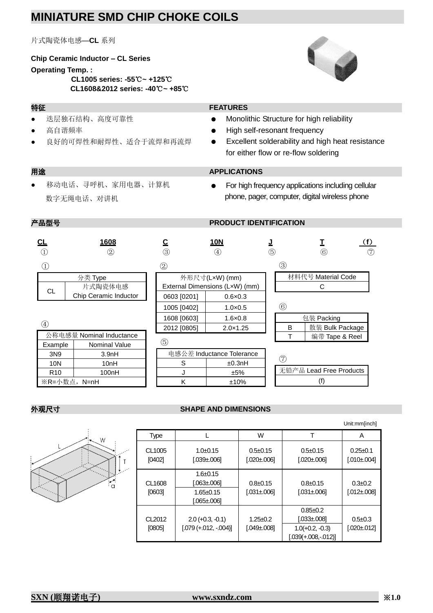## **MINIATURE SMD CHIP CHOKE COILS**

片式陶瓷体电感—**CL** 系列

#### **Chip Ceramic Inductor – CL Series**

#### **Operating Temp. :**

**CL1005 series: -55**℃**~ +125**℃ **CL1608&2012 series: -40**℃**~ +85**℃

# $\blacksquare$

- 迭层独石结构、高度可靠性
- 高自谐频率
- 良好的可焊性和耐焊性、适合于流焊和再流焊

## **特征 FEATURES**

- Monolithic Structure for high reliability
- High self-resonant frequency
- Excellent solderability and high heat resistance for either flow or re-flow soldering

#### 用途 **APPLICATIONS**

- 移动电话、寻呼机、家用电器、计算机 数字无绳电话、对讲机
- For high frequency applications including cellular phone, pager, computer, digital wireless phone

## **产品型号** PRODUCT IDENTIFICATION

| СL                | 1608<br>$^{\circledR}$   | ③                                    | <b>10N</b><br>$\left( 4\right)$                  | (5) |                    | $^\copyright$           | (f)<br>$\circled7$ |  |
|-------------------|--------------------------|--------------------------------------|--------------------------------------------------|-----|--------------------|-------------------------|--------------------|--|
| $\left( 1\right)$ |                          | $^{\small{\textcircled{\small{2}}}}$ |                                                  |     | ③                  |                         |                    |  |
|                   | 分类 Type<br>片式陶瓷体电感       |                                      | 外形尺寸(LxW) (mm)<br>External Dimensions (LxW) (mm) |     | 材料代号 Material Code |                         |                    |  |
| CL                | Chip Ceramic Inductor    | 0603 [0201]                          | $0.6 \times 0.3$                                 |     |                    |                         |                    |  |
|                   |                          | 1005 [0402]                          | $1.0 \times 0.5$                                 |     | $^{\circledR}$     |                         |                    |  |
|                   |                          | 1608 [0603]                          | $1.6 \times 0.8$                                 |     |                    | 包装 Packing              |                    |  |
| $\circled{4}$     |                          | 2012 [0805]                          | $2.0 \times 1.25$                                |     | B                  | 散装 Bulk Package         |                    |  |
|                   | 公称电感量 Nominal Inductance |                                      |                                                  |     |                    | 编带 Tape & Reel          |                    |  |
| Example           | <b>Nominal Value</b>     | 6                                    |                                                  |     |                    |                         |                    |  |
| 3N9               | 3.9 <sub>nH</sub>        |                                      | 电感公差 Inductance Tolerance                        |     |                    |                         |                    |  |
| 10N               | 10nH                     | S                                    | ±0.3nH                                           |     | (7)                |                         |                    |  |
| R <sub>10</sub>   | 100nH                    | J                                    | ±5%                                              |     |                    | 无铅产品 Lead Free Products |                    |  |
|                   | ※R=小数点, N=nH             | K                                    | ±10%                                             |     | (f)                |                         |                    |  |

#### **外观尺寸** *SHAPE AND DIMENSIONS*

 $\cap$ 

|                              |                                                                 |                                    |                                                                                | Unit:mm[inch]                     |
|------------------------------|-----------------------------------------------------------------|------------------------------------|--------------------------------------------------------------------------------|-----------------------------------|
| Type                         |                                                                 | W                                  |                                                                                | A                                 |
| CL1005<br>[0402]             | $1.0+0.15$<br>$[.039 \pm 006]$                                  | $0.5 \pm 0.15$<br>$[.020 \pm 006]$ | $0.5 \pm 0.15$<br>$[.020 \pm 006]$                                             | $0.25+0.1$<br>$[.010 \pm 004]$    |
| CL1608<br>[0603]             | $1.6 \pm 0.15$<br>[.063±.006]<br>$1.65 \pm 0.15$<br>[.065±.006] | $0.8 \pm 0.15$<br>$[.031 \pm 006]$ | $0.8 \pm 0.15$<br>$[.031 \pm 006]$                                             | $0.3 + 0.2$<br>$[.012 \pm 008]$   |
| CL <sub>2012</sub><br>[0805] | $2.0 (+0.3, -0.1)$<br>$[.079 (+.012, -.004)]$                   | $1.25 + 0.2$<br>$[.049 \pm 008]$   | $0.85 + 0.2$<br>$[.033 \pm 008]$<br>$1.0(+0.2, -0.3)$<br>$[.039(+.008,-.012)]$ | $0.5 \pm 0.3$<br>$[.020 \pm 012]$ |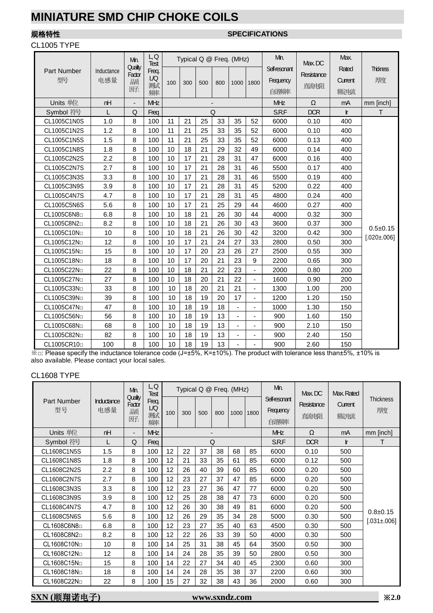# **MINIATURE SMD CHIP CHOKE COILS**

#### CL1005 TYPE

## 规格特性 **SPECIFICATIONS**

|                          |                   | Min.                         | ЦQ<br>Test              |     |     |     | Typical Q @ Freq. (MHz)  |                |                | Min.                               | Max, DC            | Max.                     |                                 |
|--------------------------|-------------------|------------------------------|-------------------------|-----|-----|-----|--------------------------|----------------|----------------|------------------------------------|--------------------|--------------------------|---------------------------------|
| <b>Part Number</b><br>型号 | Inductance<br>电感量 | Quality<br>Factor<br>踬<br>断. | Freq.<br>LQ<br>测试<br>频率 | 100 | 300 | 500 | 800                      | 1000           | 1800           | Self-resonant<br>Frequency<br>自谐频率 | Resistance<br>直流电阻 | Rated<br>Current<br>额定电流 | <b>Thickness</b><br>康度          |
| Units 单位                 | nH                | ٠                            | MHz                     |     |     |     | $\overline{\phantom{a}}$ |                |                | MHz                                | Ω                  | mA                       | mm [inch]                       |
| Symbol 符号                | L                 | Q                            | Freq                    |     |     |     | Q                        |                |                | S.R.F                              | <b>DCR</b>         | Ir                       | T.                              |
| CL1005C1N0S              | 1.0               | 8                            | 100                     | 11  | 21  | 25  | 33                       | 35             | 52             | 6000                               | 0.10               | 400                      |                                 |
| CL1005C1N2S              | 1.2               | 8                            | 100                     | 11  | 21  | 25  | 33                       | 35             | 52             | 6000                               | 0.10               | 400                      |                                 |
| CL1005C1N5S              | 1.5               | 8                            | 100                     | 11  | 21  | 25  | 33                       | 35             | 52             | 6000                               | 0.13               | 400                      |                                 |
| CL1005C1N8S              | 1.8               | 8                            | 100                     | 10  | 18  | 21  | 29                       | 32             | 49             | 6000                               | 0.14               | 400                      |                                 |
| CL1005C2N2S              | 2.2               | 8                            | 100                     | 10  | 17  | 21  | 28                       | 31             | 47             | 6000                               | 0.16               | 400                      |                                 |
| CL1005C2N7S              | 2.7               | 8                            | 100                     | 10  | 17  | 21  | 28                       | 31             | 46             | 5500                               | 0.17               | 400                      |                                 |
| CL1005C3N3S              | 3.3               | 8                            | 100                     | 10  | 17  | 21  | 28                       | 31             | 46             | 5500                               | 0.19               | 400                      |                                 |
| CL1005C3N9S              | 3.9               | 8                            | 100                     | 10  | 17  | 21  | 28                       | 31             | 45             | 5200                               | 0.22               | 400                      |                                 |
| CL1005C4N7S              | 4.7               | 8                            | 100                     | 10  | 17  | 21  | 28                       | 31             | 45             | 4800                               | 0.24               | 400                      |                                 |
| CL1005C5N6S              | 5.6               | 8                            | 100                     | 10  | 17  | 21  | 25                       | 29             | 44             | 4600                               | 0.27               | 400                      |                                 |
| CL1005C6N8               | 6.8               | 8                            | 100                     | 10  | 18  | 21  | 26                       | 30             | 44             | 4000                               | 0.32               | 300                      |                                 |
| CL1005C8N2 <sup>D</sup>  | 8.2               | 8                            | 100                     | 10  | 18  | 21  | 26                       | 30             | 43             | 3600                               | 0.37               | 300                      |                                 |
| CL1005C10No              | 10                | 8                            | 100                     | 10  | 18  | 21  | 26                       | 30             | 42             | 3200                               | 0.42               | 300                      | $0.5+0.15$<br>$[.020 \pm .006]$ |
| CL1005C12No              | 12                | 8                            | 100                     | 10  | 17  | 21  | 24                       | 27             | 33             | 2800                               | 0.50               | 300                      |                                 |
| CL1005C15No              | 15                | 8                            | 100                     | 10  | 17  | 20  | 23                       | 26             | 27             | 2500                               | 0.55               | 300                      |                                 |
| CL1005C18No              | 18                | 8                            | 100                     | 10  | 17  | 20  | 21                       | 23             | 9              | 2200                               | 0.65               | 300                      |                                 |
| CL1005C22No              | 22                | 8                            | 100                     | 10  | 18  | 21  | 22                       | 23             |                | 2000                               | 0.80               | 200                      |                                 |
| CL1005C27No              | 27                | 8                            | 100                     | 10  | 18  | 20  | 21                       | 22             | $\blacksquare$ | 1600                               | 0.90               | 200                      |                                 |
| CL1005C33No              | 33                | 8                            | 100                     | 10  | 18  | 20  | 21                       | 21             | ÷,             | 1300                               | 1.00               | 200                      |                                 |
| CL1005C39No              | 39                | 8                            | 100                     | 10  | 18  | 19  | 20                       | 17             |                | 1200                               | 1.20               | 150                      |                                 |
| CL1005C47No              | 47                | 8                            | 100                     | 10  | 18  | 19  | 18                       | $\blacksquare$ | $\blacksquare$ | 1000                               | 1.30               | 150                      |                                 |
| CL1005C56No              | 56                | 8                            | 100                     | 10  | 18  | 19  | 13                       |                | $\overline{a}$ | 900                                | 1.60               | 150                      |                                 |
| CL1005C68No              | 68                | 8                            | 100                     | 10  | 18  | 19  | 13                       |                |                | 900                                | 2.10               | 150                      |                                 |
| CL1005C82No              | 82                | 8                            | 100                     | 10  | 18  | 19  | 13                       | $\blacksquare$ | $\blacksquare$ | 900                                | 2.40               | 150                      |                                 |
| CL1005CR10 <sup>D</sup>  | 100               | 8                            | 100                     | 10  | 18  | 19  | 13                       |                |                | 900                                | 2.60               | 150                      |                                 |

 $\%$  $\Box$ : Please specify the inductance tolerance code (J= $\pm$ 5%, K= $\pm$ 10%). The product with tolerance less than $\pm$ 5%,  $\pm$ 10% is also available. Please contact your local sales.

#### CL1608 TYPE

|                   |                   | Min.                         | ЦQ<br><b>Test</b>       |     |     |     |                          | Typical Q @ Freq. (MHz) |      | Min.                               | Max DC             | Max Rated       |                                     |
|-------------------|-------------------|------------------------------|-------------------------|-----|-----|-----|--------------------------|-------------------------|------|------------------------------------|--------------------|-----------------|-------------------------------------|
| Part Number<br>型号 | Inductance<br>电感量 | Quality<br>Factor<br>踬<br>趼. | Freq.<br>LQ<br>测试<br>频率 | 100 | 300 | 500 | 800                      | 1000                    | 1800 | Self-resonant<br>Frequency<br>自谐频率 | Resistance<br>直流电阻 | Current<br>额定电流 | <b>Thickness</b><br>厚度              |
| Units 单位          | nH                | ۰.                           | <b>MHz</b>              |     |     |     | $\overline{\phantom{0}}$ |                         |      | <b>MHz</b>                         | Ω                  | mA              | mm [inch]                           |
| Symbol 符号         |                   | Q                            | Freq                    |     |     |     | Q                        |                         |      | S.R.F                              | <b>DCR</b>         | <b>Ir</b>       | т                                   |
| CL1608C1N5S       | 1.5               | 8                            | 100                     | 12  | 22  | 37  | 38                       | 68                      | 85   | 6000                               | 0.10               | 500             |                                     |
| CL1608C1N8S       | 1.8               | 8                            | 100                     | 12  | 21  | 33  | 35                       | 61                      | 85   | 6000                               | 0.12               | 500             |                                     |
| CL1608C2N2S       | 2.2               | 8                            | 100                     | 12  | 26  | 40  | 39                       | 60                      | 85   | 6000                               | 0.20               | 500             |                                     |
| CL1608C2N7S       | 2.7               | 8                            | 100                     | 12  | 23  | 27  | 37                       | 47                      | 85   | 6000                               | 0.20               | 500             |                                     |
| CL1608C3N3S       | 3.3               | 8                            | 100                     | 12  | 23  | 27  | 36                       | 47                      | 77   | 6000                               | 0.20               | 500             |                                     |
| CL1608C3N9S       | 3.9               | 8                            | 100                     | 12  | 25  | 28  | 38                       | 47                      | 73   | 6000                               | 0.20               | 500             |                                     |
| CL1608C4N7S       | 4.7               | 8                            | 100                     | 12  | 26  | 30  | 38                       | 49                      | 81   | 6000                               | 0.20               | 500             |                                     |
| CL1608C5N6S       | 5.6               | 8                            | 100                     | 12  | 26  | 29  | 35                       | 34                      | 28   | 5000                               | 0.30               | 500             | $0.8 \pm 0.15$<br>$[.031 \pm .006]$ |
| CL1608C6N8        | 6.8               | 8                            | 100                     | 12  | 23  | 27  | 35                       | 40                      | 63   | 4500                               | 0.30               | 500             |                                     |
| CL1608C8N2        | 8.2               | 8                            | 100                     | 12  | 22  | 26  | 33                       | 39                      | 50   | 4000                               | 0.30               | 500             |                                     |
| CL1608C10No       | 10                | 8                            | 100                     | 14  | 25  | 31  | 38                       | 45                      | 64   | 3500                               | 0.50               | 300             |                                     |
| CL1608C12No       | 12                | 8                            | 100                     | 14  | 24  | 28  | 35                       | 39                      | 50   | 2800                               | 0.50               | 300             |                                     |
| CL1608C15No       | 15                | 8                            | 100                     | 14  | 22  | 27  | 34                       | 40                      | 45   | 2300                               | 0.60               | 300             |                                     |
| CL1608C18No       | 18                | 8                            | 100                     | 14  | 24  | 28  | 35                       | 38                      | 37   | 2200                               | 0.60               | 300             |                                     |
| CL1608C22No       | 22                | 8                            | 100                     | 15  | 27  | 32  | 38                       | 43                      | 36   | 2000                               | 0.60               | 300             |                                     |

## **SXN (**顺翔诺电子**) www.sxndz.com** ※**2.0**